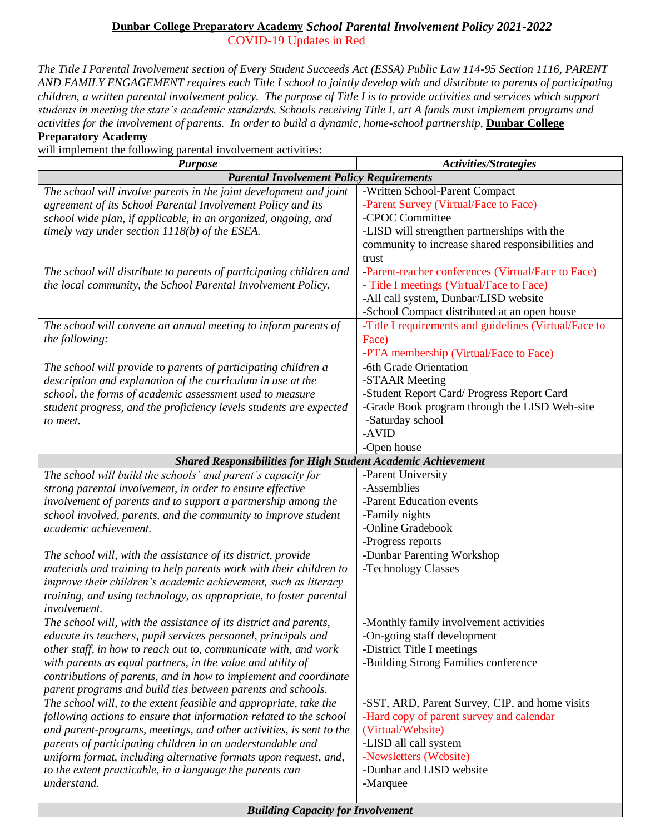## **Dunbar College Preparatory Academy** *School Parental Involvement Policy 2021-2022* COVID-19 Updates in Red

*The Title I Parental Involvement section of Every Student Succeeds Act (ESSA) Public Law 114-95 Section 1116, PARENT AND FAMILY ENGAGEMENT requires each Title I school to jointly develop with and distribute to parents of participating children, a written parental involvement policy. The purpose of Title I is to provide activities and services which support students in meeting the state's academic standards. Schools receiving Title I, art A funds must implement programs and activities for the involvement of parents. In order to build a dynamic, home-school partnership, Dunbar College* **Preparatory Academy**

## will implement the following parental involvement activities:

| <b>Purpose</b>                                                                                                                                                                                                                                                                                                                                                                                                              | Activities/Strategies                                                                                                                                                                                                                                         |
|-----------------------------------------------------------------------------------------------------------------------------------------------------------------------------------------------------------------------------------------------------------------------------------------------------------------------------------------------------------------------------------------------------------------------------|---------------------------------------------------------------------------------------------------------------------------------------------------------------------------------------------------------------------------------------------------------------|
| <b>Parental Involvement Policy Requirements</b>                                                                                                                                                                                                                                                                                                                                                                             |                                                                                                                                                                                                                                                               |
| The school will involve parents in the joint development and joint<br>agreement of its School Parental Involvement Policy and its<br>school wide plan, if applicable, in an organized, ongoing, and<br>timely way under section 1118(b) of the ESEA.                                                                                                                                                                        | -Written School-Parent Compact<br>-Parent Survey (Virtual/Face to Face)<br>-CPOC Committee<br>-LISD will strengthen partnerships with the<br>community to increase shared responsibilities and<br>trust<br>-Parent-teacher conferences (Virtual/Face to Face) |
| The school will distribute to parents of participating children and<br>the local community, the School Parental Involvement Policy.                                                                                                                                                                                                                                                                                         | - Title I meetings (Virtual/Face to Face)<br>-All call system, Dunbar/LISD website<br>-School Compact distributed at an open house                                                                                                                            |
| The school will convene an annual meeting to inform parents of<br>the following:                                                                                                                                                                                                                                                                                                                                            | -Title I requirements and guidelines (Virtual/Face to<br>Face)<br>-PTA membership (Virtual/Face to Face)                                                                                                                                                      |
| The school will provide to parents of participating children a<br>description and explanation of the curriculum in use at the<br>school, the forms of academic assessment used to measure<br>student progress, and the proficiency levels students are expected<br>to meet.                                                                                                                                                 | -6th Grade Orientation<br>-STAAR Meeting<br>-Student Report Card/ Progress Report Card<br>-Grade Book program through the LISD Web-site<br>-Saturday school<br>-AVID<br>-Open house                                                                           |
| <b>Shared Responsibilities for High Student Academic Achievement</b>                                                                                                                                                                                                                                                                                                                                                        |                                                                                                                                                                                                                                                               |
| The school will build the schools' and parent's capacity for<br>strong parental involvement, in order to ensure effective<br>involvement of parents and to support a partnership among the<br>school involved, parents, and the community to improve student<br>academic achievement.                                                                                                                                       | -Parent University<br>-Assemblies<br>-Parent Education events<br>-Family nights<br>-Online Gradebook<br>-Progress reports                                                                                                                                     |
| The school will, with the assistance of its district, provide<br>materials and training to help parents work with their children to<br>improve their children's academic achievement, such as literacy<br>training, and using technology, as appropriate, to foster parental<br>involvement.                                                                                                                                | -Dunbar Parenting Workshop<br>-Technology Classes                                                                                                                                                                                                             |
| The school will, with the assistance of its district and parents,<br>educate its teachers, pupil services personnel, principals and<br>other staff, in how to reach out to, communicate with, and work<br>with parents as equal partners, in the value and utility of<br>contributions of parents, and in how to implement and coordinate<br>parent programs and build ties between parents and schools.                    | -Monthly family involvement activities<br>-On-going staff development<br>-District Title I meetings<br>-Building Strong Families conference                                                                                                                   |
| The school will, to the extent feasible and appropriate, take the<br>following actions to ensure that information related to the school<br>and parent-programs, meetings, and other activities, is sent to the<br>parents of participating children in an understandable and<br>uniform format, including alternative formats upon request, and,<br>to the extent practicable, in a language the parents can<br>understand. | -SST, ARD, Parent Survey, CIP, and home visits<br>-Hard copy of parent survey and calendar<br>(Virtual/Website)<br>-LISD all call system<br>-Newsletters (Website)<br>-Dunbar and LISD website<br>-Marquee                                                    |